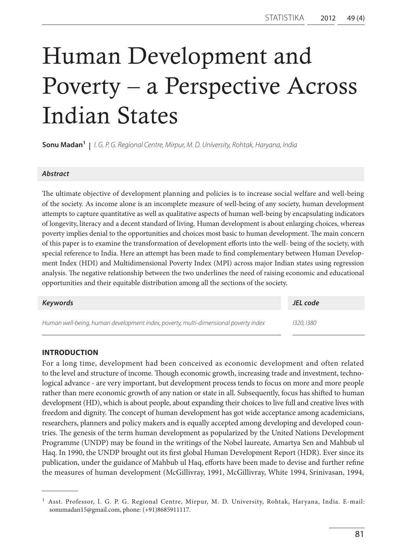# Human Development and Poverty – a Perspective Across Indian States

**Sonu Madan1 |** *I. G. P. G. Regional Centre, Mirpur, M. D. University, Rohtak, Haryana, India*

# *Abstract*

The ultimate objective of development planning and policies is to increase social welfare and well-being of the society. As income alone is an incomplete measure of well-being of any society, human development attempts to capture quantitative as well as qualitative aspects of human well-being by encapsulating indicators of longevity, literacy and a decent standard of living. Human development is about enlarging choices, whereas poverty implies denial to the opportunities and choices most basic to human development. The main concern of this paper is to examine the transformation of development efforts into the well- being of the society, with special reference to India. Here an attempt has been made to find complementary between Human Development Index (HDI) and Multidimensional Poverty Index (MPI) across major Indian states using regression analysis. The negative relationship between the two underlines the need of raising economic and educational opportunities and their equitable distribution among all the sections of the society.

| Keywords                                                                            | JEL code  |
|-------------------------------------------------------------------------------------|-----------|
| Human well-being, human development index, poverty, multi-dimensional poverty index | 1320.1380 |

# **Introduction**

For a long time, development had been conceived as economic development and often related to the level and structure of income. Though economic growth, increasing trade and investment, technological advance - are very important, but development process tends to focus on more and more people rather than mere economic growth of any nation or state in all. Subsequently, focus has shifted to human development (HD), which is about people, about expanding their choices to live full and creative lives with freedom and dignity. The concept of human development has got wide acceptance among academicians, researchers, planners and policy makers and is equally accepted among developing and developed countries. The genesis of the term human development as popularized by the United Nations Development Programme (UNDP) may be found in the writings of the Nobel laureate, Amartya Sen and Mahbub ul Haq. In 1990, the UNDP brought out its first global Human Development Report (HDR). Ever since its publication, under the guidance of Mahbub ul Haq, efforts have been made to devise and further refine the measures of human development (McGillivray, 1991, McGillivray, White 1994, Srinivasan, 1994,

<sup>&</sup>lt;sup>1</sup> Asst. Professor, I. G. P. G. Regional Centre, Mirpur, M. D. University, Rohtak, Haryana, India. E-mail: sonumadan15@gmail.com, phone: (+91)8685911117.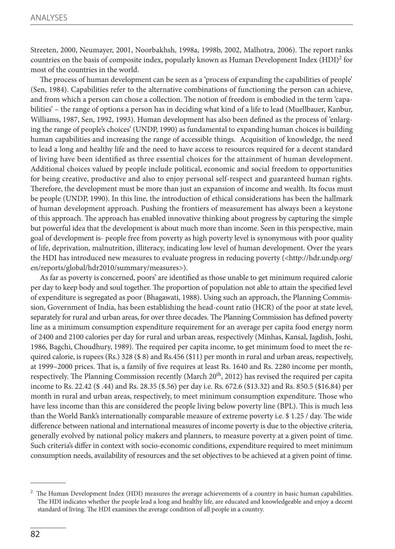Streeten, 2000, Neumayer, 2001, Noorbakhsh, 1998a, 1998b, 2002, Malhotra, 2006). The report ranks countries on the basis of composite index, popularly known as Human Development Index  $(HDI)^2$  for most of the countries in the world.

The process of human development can be seen as a 'process of expanding the capabilities of people' (Sen, 1984). Capabilities refer to the alternative combinations of functioning the person can achieve, and from which a person can chose a collection. The notion of freedom is embodied in the term 'capabilities' – the range of options a person has in deciding what kind of a life to lead (Muellbauer, Kanbur, Williams, 1987, Sen, 1992, 1993). Human development has also been defined as the process of 'enlarging the range of people's choices' (UNDP, 1990) as fundamental to expanding human choices is building human capabilities and increasing the range of accessible things. Acquisition of knowledge, the need to lead a long and healthy life and the need to have access to resources required for a decent standard of living have been identified as three essential choices for the attainment of human development. Additional choices valued by people include political, economic and social freedom to opportunities for being creative, productive and also to enjoy personal self-respect and guaranteed human rights. Therefore, the development must be more than just an expansion of income and wealth. Its focus must be people (UNDP, 1990). In this line, the introduction of ethical considerations has been the hallmark of human development approach. Pushing the frontiers of measurement has always been a keystone of this approach. The approach has enabled innovative thinking about progress by capturing the simple but powerful idea that the development is about much more than income. Seen in this perspective, main goal of development is- people free from poverty as high poverty level is synonymous with poor quality of life, deprivation, malnutrition, illiteracy, indicating low level of human development. Over the years the HDI has introduced new measures to evaluate progress in reducing poverty (<http://hdr.undp.org/ en/reports/global/hdr2010/summary/measures>).

As far as poverty is concerned, poors' are identified as those unable to get minimum required calorie per day to keep body and soul together. The proportion of population not able to attain the specified level of expenditure is segregated as poor (Bhagawati, 1988). Using such an approach, the Planning Commission, Government of India, has been establishing the head-count ratio (HCR) of the poor at state level, separately for rural and urban areas, for over three decades. The Planning Commission has defined poverty line as a minimum consumption expenditure requirement for an average per capita food energy norm of 2400 and 2100 calories per day for rural and urban areas, respectively (Minhas, Kansal, Jagdish, Joshi, 1986, Bagchi, Choudhury, 1989). The required per capita income, to get minimum food to meet the required calorie, is rupees (Rs.) 328 (\$ 8) and Rs.456 (\$11) per month in rural and urban areas, respectively, at 1999–2000 prices. That is, a family of five requires at least Rs. 1640 and Rs. 2280 income per month, respectively. The Planning Commission recently (March 20<sup>th</sup>, 2012) has revised the required per capita income to Rs. 22.42 (\$ .44) and Rs. 28.35 (\$.56) per day i.e. Rs. 672.6 (\$13.32) and Rs. 850.5 (\$16.84) per month in rural and urban areas, respectively, to meet minimum consumption expenditure. Those who have less income than this are considered the people living below poverty line (BPL). This is much less than the World Bank's internationally comparable measure of extreme poverty i.e. \$ 1.25 / day. The wide difference between national and international measures of income poverty is due to the objective criteria, generally evolved by national policy makers and planners, to measure poverty at a given point of time. Such criteria's differ in context with socio-economic conditions, expenditure required to meet minimum consumption needs, availability of resources and the set objectives to be achieved at a given point of time.

<sup>2</sup> The Human Development Index (HDI) measures the average achievements of a country in basic human capabilities. The HDI indicates whether the people lead a long and healthy life, are educated and knowledgeable and enjoy a decent standard of living. The HDI examines the average condition of all people in a country.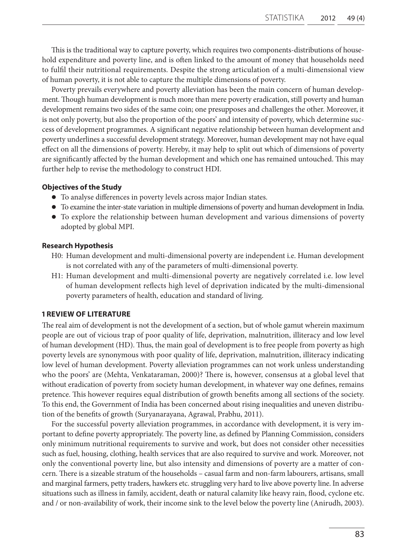This is the traditional way to capture poverty, which requires two components-distributions of household expenditure and poverty line, and is often linked to the amount of money that households need to fulfil their nutritional requirements. Despite the strong articulation of a multi-dimensional view of human poverty, it is not able to capture the multiple dimensions of poverty.

Poverty prevails everywhere and poverty alleviation has been the main concern of human development. Though human development is much more than mere poverty eradication, still poverty and human development remains two sides of the same coin; one presupposes and challenges the other. Moreover, it is not only poverty, but also the proportion of the poors' and intensity of poverty, which determine success of development programmes. A significant negative relationship between human development and poverty underlines a successful development strategy. Moreover, human development may not have equal effect on all the dimensions of poverty. Hereby, it may help to split out which of dimensions of poverty are significantly affected by the human development and which one has remained untouched. This may further help to revise the methodology to construct HDI.

# **Objectives of the Study**

- To analyse differences in poverty levels across major Indian states.
- l To examine the inter-state variation in multiple dimensions of poverty and human development in India.
- $\bullet$  To explore the relationship between human development and various dimensions of poverty adopted by global MPI.

#### **Research Hypothesis**

- H0: Human development and multi-dimensional poverty are independent i.e. Human development is not correlated with any of the parameters of multi-dimensional poverty.
- H1: Human development and multi-dimensional poverty are negatively correlated i.e. low level of human development reflects high level of deprivation indicated by the multi-dimensional poverty parameters of health, education and standard of living.

# **1 REVIEW OF LITERATURE**

The real aim of development is not the development of a section, but of whole gamut wherein maximum people are out of vicious trap of poor quality of life, deprivation, malnutrition, illiteracy and low level of human development (HD). Thus, the main goal of development is to free people from poverty as high poverty levels are synonymous with poor quality of life, deprivation, malnutrition, illiteracy indicating low level of human development. Poverty alleviation programmes can not work unless understanding who the poors' are (Mehta, Venkataraman, 2000)? There is, however, consensus at a global level that without eradication of poverty from society human development, in whatever way one defines, remains pretence. This however requires equal distribution of growth benefits among all sections of the society. To this end, the Government of India has been concerned about rising inequalities and uneven distribution of the benefits of growth (Suryanarayana, Agrawal, Prabhu, 2011).

For the successful poverty alleviation programmes, in accordance with development, it is very important to define poverty appropriately. The poverty line, as defined by Planning Commission, considers only minimum nutritional requirements to survive and work, but does not consider other necessities such as fuel, housing, clothing, health services that are also required to survive and work. Moreover, not only the conventional poverty line, but also intensity and dimensions of poverty are a matter of concern. There is a sizeable stratum of the households – casual farm and non-farm labourers, artisans, small and marginal farmers, petty traders, hawkers etc. struggling very hard to live above poverty line. In adverse situations such as illness in family, accident, death or natural calamity like heavy rain, flood, cyclone etc. and / or non-availability of work, their income sink to the level below the poverty line (Anirudh, 2003).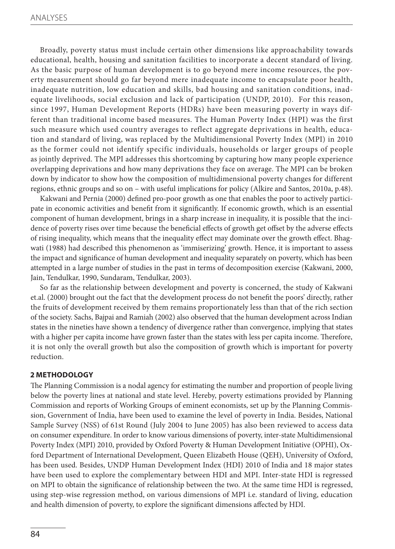Broadly, poverty status must include certain other dimensions like approachability towards educational, health, housing and sanitation facilities to incorporate a decent standard of living. As the basic purpose of human development is to go beyond mere income resources, the poverty measurement should go far beyond mere inadequate income to encapsulate poor health, inadequate nutrition, low education and skills, bad housing and sanitation conditions, inadequate livelihoods, social exclusion and lack of participation (UNDP, 2010). For this reason, since 1997, Human Development Reports (HDRs) have been measuring poverty in ways different than traditional income based measures. The Human Poverty Index (HPI) was the first such measure which used country averages to reflect aggregate deprivations in health, education and standard of living, was replaced by the Multidimensional Poverty Index (MPI) in 2010 as the former could not identify specific individuals, households or larger groups of people as jointly deprived. The MPI addresses this shortcoming by capturing how many people experience overlapping deprivations and how many deprivations they face on average. The MPI can be broken down by indicator to show how the composition of multidimensional poverty changes for different regions, ethnic groups and so on – with useful implications for policy (Alkire and Santos, 2010a, p.48).

Kakwani and Pernia (2000) defined pro-poor growth as one that enables the poor to actively participate in economic activities and benefit from it significantly. If economic growth, which is an essential component of human development, brings in a sharp increase in inequality, it is possible that the incidence of poverty rises over time because the beneficial effects of growth get offset by the adverse effects of rising inequality, which means that the inequality effect may dominate over the growth effect. Bhagwati (1988) had described this phenomenon as 'immiserizing' growth. Hence, it is important to assess the impact and significance of human development and inequality separately on poverty, which has been attempted in a large number of studies in the past in terms of decomposition exercise (Kakwani, 2000, Jain, Tendulkar, 1990, Sundaram, Tendulkar, 2003).

So far as the relationship between development and poverty is concerned, the study of Kakwani et.al. (2000) brought out the fact that the development process do not benefit the poors' directly, rather the fruits of development received by them remains proportionately less than that of the rich section of the society. Sachs, Bajpai and Ramiah (2002) also observed that the human development across Indian states in the nineties have shown a tendency of divergence rather than convergence, implying that states with a higher per capita income have grown faster than the states with less per capita income. Therefore, it is not only the overall growth but also the composition of growth which is important for poverty reduction.

# **2 METHODOLOGY**

The Planning Commission is a nodal agency for estimating the number and proportion of people living below the poverty lines at national and state level. Hereby, poverty estimations provided by Planning Commission and reports of Working Groups of eminent economists, set up by the Planning Commission, Government of India, have been used to examine the level of poverty in India. Besides, National Sample Survey (NSS) of 61st Round (July 2004 to June 2005) has also been reviewed to access data on consumer expenditure. In order to know various dimensions of poverty, inter-state Multidimensional Poverty Index (MPI) 2010, provided by Oxford Poverty & Human Development Initiative (OPHI), Oxford Department of International Development, Queen Elizabeth House (QEH), University of Oxford, has been used. Besides, UNDP Human Development Index (HDI) 2010 of India and 18 major states have been used to explore the complementary between HDI and MPI. Inter-state HDI is regressed on MPI to obtain the significance of relationship between the two. At the same time HDI is regressed, using step-wise regression method, on various dimensions of MPI i.e. standard of living, education and health dimension of poverty, to explore the significant dimensions affected by HDI.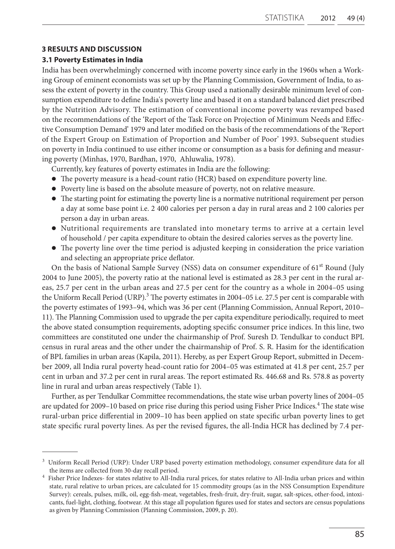# **3 RESULTS AND DISCUSSION**

# **3.1 Poverty Estimates in India**

India has been overwhelmingly concerned with income poverty since early in the 1960s when a Working Group of eminent economists was set up by the Planning Commission, Government of India, to assess the extent of poverty in the country. This Group used a nationally desirable minimum level of consumption expenditure to define India's poverty line and based it on a standard balanced diet prescribed by the Nutrition Advisory. The estimation of conventional income poverty was revamped based on the recommendations of the 'Report of the Task Force on Projection of Minimum Needs and Effective Consumption Demand' 1979 and later modified on the basis of the recommendations of the 'Report of the Expert Group on Estimation of Proportion and Number of Poor' 1993. Subsequent studies on poverty in India continued to use either income or consumption as a basis for defining and measuring poverty (Minhas, 1970, Bardhan, 1970, Ahluwalia, 1978).

Currently, key features of poverty estimates in India are the following:

- l The poverty measure is a head-count ratio (HCR) based on expenditure poverty line.
- l Poverty line is based on the absolute measure of poverty, not on relative measure.
- The starting point for estimating the poverty line is a normative nutritional requirement per person a day at some base point i.e. 2 400 calories per person a day in rural areas and 2 100 calories per person a day in urban areas.
- l Nutritional requirements are translated into monetary terms to arrive at a certain level of household / per capita expenditure to obtain the desired calories serves as the poverty line.
- l The poverty line over the time period is adjusted keeping in consideration the price variation and selecting an appropriate price deflator.

On the basis of National Sample Survey (NSS) data on consumer expenditure of 61<sup>st</sup> Round (July 2004 to June 2005), the poverty ratio at the national level is estimated as 28.3 per cent in the rural areas, 25.7 per cent in the urban areas and 27.5 per cent for the country as a whole in 2004–05 using the Uniform Recall Period (URP).<sup>3</sup> The poverty estimates in 2004–05 i.e. 27.5 per cent is comparable with the poverty estimates of 1993–94, which was 36 per cent (Planning Commission, Annual Report, 2010– 11). The Planning Commission used to upgrade the per capita expenditure periodically, required to meet the above stated consumption requirements, adopting specific consumer price indices. In this line, two committees are constituted one under the chairmanship of Prof. Suresh D. Tendulkar to conduct BPL census in rural areas and the other under the chairmanship of Prof. S. R. Hasim for the identification of BPL families in urban areas (Kapila, 2011). Hereby, as per Expert Group Report, submitted in December 2009, all India rural poverty head-count ratio for 2004–05 was estimated at 41.8 per cent, 25.7 per cent in urban and 37.2 per cent in rural areas. The report estimated Rs. 446.68 and Rs. 578.8 as poverty line in rural and urban areas respectively (Table 1).

Further, as per Tendulkar Committee recommendations, the state wise urban poverty lines of 2004–05 are updated for 2009-10 based on price rise during this period using Fisher Price Indices.<sup>4</sup> The state wise rural-urban price differential in 2009–10 has been applied on state specific urban poverty lines to get state specific rural poverty lines. As per the revised figures, the all-India HCR has declined by 7.4 per-

<sup>&</sup>lt;sup>3</sup> Uniform Recall Period (URP): Under URP based poverty estimation methodology, consumer expenditure data for all the items are collected from 30-day recall period.

<sup>4</sup> Fisher Price Indexes- for states relative to All-India rural prices, for states relative to All-India urban prices and within state, rural relative to urban prices, are calculated for 15 commodity groups (as in the NSS Consumption Expenditure Survey): cereals, pulses, milk, oil, egg-fish-meat, vegetables, fresh-fruit, dry-fruit, sugar, salt-spices, other-food, intoxicants, fuel-light, clothing, footwear. At this stage all population figures used for states and sectors are census populations as given by Planning Commission (Planning Commission, 2009, p. 20).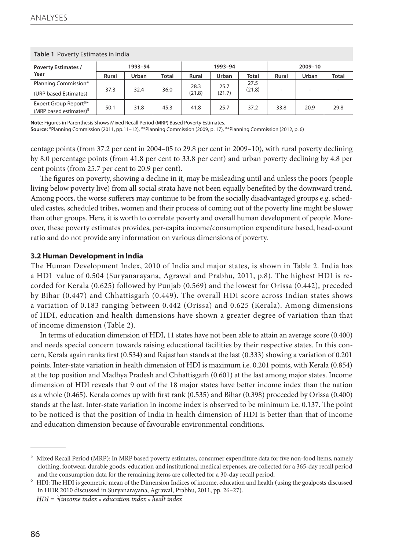| <b>Table 1</b> Poverty Estimates in India                   |       |         |              |        |         |        |       |         |              |
|-------------------------------------------------------------|-------|---------|--------------|--------|---------|--------|-------|---------|--------------|
| <b>Poverty Estimates /</b>                                  |       | 1993-94 |              |        | 1993-94 |        |       | 2009-10 |              |
| Year                                                        | Rural | Urban   | <b>Total</b> | Rural  | Urban   | Total  | Rural | Urban   | <b>Total</b> |
| Planning Commission*                                        |       |         |              | 28.3   | 25.7    | 27.5   |       |         |              |
| (URP based Estimates)                                       | 37.3  | 32.4    | 36.0         | (21.8) | (21.7)  | (21.8) |       |         |              |
| Expert Group Report**<br>(MRP based estimates) <sup>5</sup> | 50.1  | 31.8    | 45.3         | 41.8   | 25.7    | 37.2   | 33.8  | 20.9    | 29.8         |

**Note:** Figures in Parenthesis Shows Mixed Recall Period (MRP) Based Poverty Estimates.

**Source:** \*Planning Commission (2011, pp.11–12), \*\*Planning Commission (2009, p. 17), \*\*Planning Commission (2012, p. 6)

centage points (from 37.2 per cent in 2004–05 to 29.8 per cent in 2009–10), with rural poverty declining by 8.0 percentage points (from 41.8 per cent to 33.8 per cent) and urban poverty declining by 4.8 per cent points (from 25.7 per cent to 20.9 per cent).

The figures on poverty, showing a decline in it, may be misleading until and unless the poors (people living below poverty live) from all social strata have not been equally benefited by the downward trend. Among poors, the worse sufferers may continue to be from the socially disadvantaged groups e.g. scheduled castes, scheduled tribes, women and their process of coming out of the poverty line might be slower than other groups. Here, it is worth to correlate poverty and overall human development of people. Moreover, these poverty estimates provides, per-capita income/consumption expenditure based, head-count ratio and do not provide any information on various dimensions of poverty.

#### **3.2 Human Development in India**

The Human Development Index, 2010 of India and major states, is shown in Table 2. India has a HDI value of 0.504 (Suryanarayana, Agrawal and Prabhu, 2011, p.8). The highest HDI is recorded for Kerala (0.625) followed by Punjab (0.569) and the lowest for Orissa (0.442), preceded by Bihar (0.447) and Chhattisgarh (0.449). The overall HDI score across Indian states shows a variation of 0.183 ranging between 0.442 (Orissa) and 0.625 (Kerala). Among dimensions of HDI, education and health dimensions have shown a greater degree of variation than that of income dimension (Table 2).

In terms of education dimension of HDI, 11 states have not been able to attain an average score (0.400) and needs special concern towards raising educational facilities by their respective states. In this concern, Kerala again ranks first (0.534) and Rajasthan stands at the last (0.333) showing a variation of 0.201 points. Inter-state variation in health dimension of HDI is maximum i.e. 0.201 points, with Kerala (0.854) at the top position and Madhya Pradesh and Chhattisgarh (0.601) at the last among major states. Income dimension of HDI reveals that 9 out of the 18 major states have better income index than the nation as a whole (0.465). Kerala comes up with first rank (0.535) and Bihar (0.398) proceeded by Orissa (0.400) stands at the last. Inter-state variation in income index is observed to be minimum i.e. 0.137. The point to be noticed is that the position of India in health dimension of HDI is better than that of income and education dimension because of favourable environmental conditions.

<sup>5</sup> Mixed Recall Period (MRP): In MRP based poverty estimates, consumer expenditure data for five non-food items, namely clothing, footwear, durable goods, education and institutional medical expenses, are collected for a 365-day recall period and the consumption data for the remaining items are collected for a 30-day recall period.

<sup>6</sup> HDI: The HDI is geometric mean of the Dimension Indices of income, education and health (using the goalposts discussed in HDR 2010 discussed in Suryanarayana, Agrawal, Prabhu, 2011, pp. 26–27).

 $HDI = \sqrt[3]{income index \times education index \times health index}$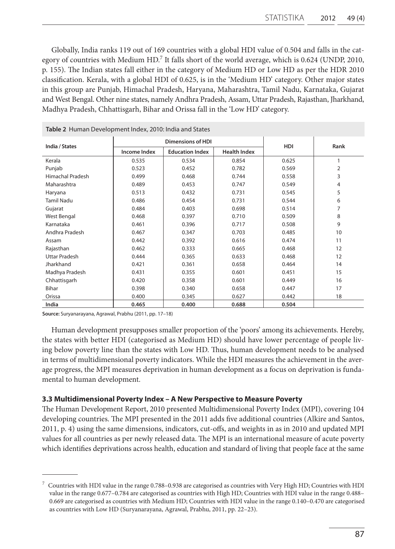Globally, India ranks 119 out of 169 countries with a global HDI value of 0.504 and falls in the category of countries with Medium HD.<sup>7</sup> It falls short of the world average, which is 0.624 (UNDP, 2010, p. 155). The Indian states fall either in the category of Medium HD or Low HD as per the HDR 2010 classification. Kerala, with a global HDI of 0.625, is in the 'Medium HD' category. Other major states in this group are Punjab, Himachal Pradesh, Haryana, Maharashtra, Tamil Nadu, Karnataka, Gujarat and West Bengal. Other nine states, namely Andhra Pradesh, Assam, Uttar Pradesh, Rajasthan, Jharkhand, Madhya Pradesh, Chhattisgarh, Bihar and Orissa fall in the 'Low HD' category.

| India / States          |              | <b>Dimensions of HDI</b> |                     | <b>HDI</b> | Rank         |
|-------------------------|--------------|--------------------------|---------------------|------------|--------------|
|                         | Income Index | <b>Education Index</b>   | <b>Health Index</b> |            |              |
| Kerala                  | 0.535        | 0.534                    | 0.854               | 0.625      | $\mathbf{1}$ |
| Punjab                  | 0.523        | 0.452                    | 0.782               | 0.569      | 2            |
| <b>Himachal Pradesh</b> | 0.499        | 0.468                    | 0.744               | 0.558      | 3            |
| Maharashtra             | 0.489        | 0.453                    | 0.747               | 0.549      | 4            |
| Haryana                 | 0.513        | 0.432                    | 0.731               | 0.545      | 5            |
| <b>Tamil Nadu</b>       | 0.486        | 0.454                    | 0.731               | 0.544      | 6            |
| Gujarat                 | 0.484        | 0.403                    | 0.698               | 0.514      | 7            |
| <b>West Bengal</b>      | 0.468        | 0.397                    | 0.710               | 0.509      | 8            |
| Karnataka               | 0.461        | 0.396                    | 0.717               | 0.508      | 9            |
| Andhra Pradesh          | 0.467        | 0.347                    | 0.703               | 0.485      | 10           |
| Assam                   | 0.442        | 0.392                    | 0.616               | 0.474      | 11           |
| Rajasthan               | 0.462        | 0.333                    | 0.665               | 0.468      | 12           |
| Uttar Pradesh           | 0.444        | 0.365                    | 0.633               | 0.468      | 12           |
| Jharkhand               | 0.421        | 0.361                    | 0.658               | 0.464      | 14           |
| Madhya Pradesh          | 0.431        | 0.355                    | 0.601               | 0.451      | 15           |
| Chhattisgarh            | 0.420        | 0.358                    | 0.601               | 0.449      | 16           |
| <b>Bihar</b>            | 0.398        | 0.340                    | 0.658               | 0.447      | 17           |
| Orissa                  | 0.400        | 0.345                    | 0.627               | 0.442      | 18           |
| India                   | 0.465        | 0.400                    | 0.688               | 0.504      |              |

**Table 2** Human Development Index, 2010: India and States

**Source:** Suryanarayana, Agrawal, Prabhu (2011, pp. 17–18)

Human development presupposes smaller proportion of the 'poors' among its achievements. Hereby, the states with better HDI (categorised as Medium HD) should have lower percentage of people living below poverty line than the states with Low HD. Thus, human development needs to be analysed in terms of multidimensional poverty indicators. While the HDI measures the achievement in the average progress, the MPI measures deprivation in human development as a focus on deprivation is fundamental to human development.

#### **3.3 Multidimensional Poverty Index – A New Perspective to Measure Poverty**

The Human Development Report, 2010 presented Multidimensional Poverty Index (MPI), covering 104 developing countries. The MPI presented in the 2011 adds five additional countries (Alkire and Santos, 2011, p. 4) using the same dimensions, indicators, cut-offs, and weights in as in 2010 and updated MPI values for all countries as per newly released data. The MPI is an international measure of acute poverty which identifies deprivations across health, education and standard of living that people face at the same

 $^7$  Countries with HDI value in the range 0.788–0.938 are categorised as countries with Very High HD; Countries with HDI value in the range 0.677–0.784 are categorised as countries with High HD; Countries with HDI value in the range 0.488– 0.669 are categorised as countries with Medium HD; Countries with HDI value in the range 0.140–0.470 are categorised as countries with Low HD (Suryanarayana, Agrawal, Prabhu, 2011, pp. 22–23).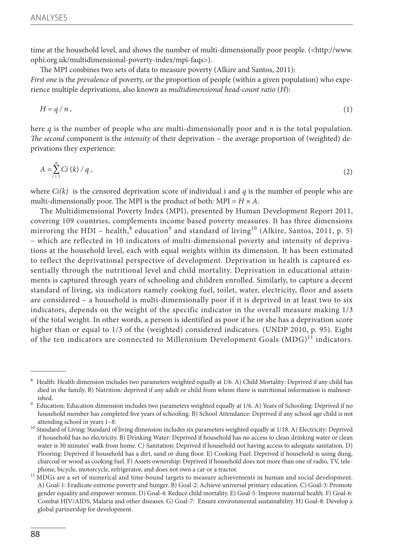time at the household level, and shows the number of multi-dimensionally poor people. (<http://www. ophi.org.uk/multidimensional-poverty-index/mpi-faqs>).

The MPI combines two sets of data to measure poverty (Alkire and Santos, 2011): *First one* is the *prevalence* of poverty, or the proportion of people (within a given population) who experience multiple deprivations, also known as *multidimensional head-count ratio* (*H*):

$$
H = q / n, \tag{1}
$$

here *q* is the number of people who are multi-dimensionally poor and *n* is the total population. *The second* component is the *intensity* of their deprivation – the average proportion of (weighted) deprivations they experience:

$$
A = \sum_{i=1}^{n} Ci\left(k\right)/q\,,\tag{2}
$$

where  $Ci(k)$  is the censored deprivation score of individual i and *q* is the number of people who are multi-dimensionally poor. The MPI is the product of both:  $MPI = H \times A$ .

The Multidimensional Poverty Index (MPI), presented by Human Development Report 2011, covering 109 countries, complements income based poverty measures. It has three dimensions mirroring the HDI – health, $^8$  education $^9$  and standard of living $^{10}$  (Alkire, Santos, 2011, p. 5) – which are reflected in 10 indicators of multi-dimensional poverty and intensity of deprivations at the household level, each with equal weights within its dimension. It has been estimated to reflect the deprivational perspective of development. Deprivation in health is captured essentially through the nutritional level and child mortality. Deprivation in educational attainments is captured through years of schooling and children enrolled. Similarly, to capture a decent standard of living, six indicators namely cooking fuel, toilet, water, electricity, floor and assets are considered – a household is multi-dimensionally poor if it is deprived in at least two to six indicators, depends on the weight of the specific indicator in the overall measure making 1/3 of the total weight. In other words, a person is identified as poor if he or she has a deprivation score higher than or equal to 1/3 of the (weighted) considered indicators. (UNDP 2010, p. 95). Eight of the ten indicators are connected to Millennium Development Goals  $(MDG)^{11}$  indicators.

<sup>8</sup> Health: Health dimension includes two parameters weighted equally at 1/6. A) Child Mortality: Deprived if any child has died in the family. B) Nutrition: deprived if any adult or child from whom there is nutritional information is malnourished.

<sup>&</sup>lt;sup>9</sup> Education: Education dimension includes two parameters weighted equally at 1/6. A) Years of Schooling: Deprived if no household member has completed five years of schooling. B) School Attendance: Deprived if any school age child is not attending school in years 1–8.

<sup>&</sup>lt;sup>10</sup> Standard of Living: Standard of living dimension includes six parameters weighted equally at 1/18. A) Electricity: Deprived if household has no electricity. B) Drinking Water: Deprived if household has no access to clean drinking water or clean water is 30 minutes' walk from home. C) Sanitation: Deprived if household not having access to adequate sanitation. D) Flooring: Deprived if household has a dirt, sand or dung floor. E) Cooking Fuel: Deprived if household is using dung, charcoal or wood as cooking fuel. F) Assets ownership: Deprived if household does not more than one of radio, TV, telephone, bicycle, motorcycle, refrigerator, and does not own a car or a tractor.

<sup>&</sup>lt;sup>11</sup> MDGs are a set of numerical and time-bound targets to measure achievements in human and social development. A) Goal-1: Eradicate extreme poverty and hunger. B) Goal-2: Achieve universal primary education. C) Goal-3: Promote gender equality and empower women. D) Goal-4: Reduce child mortality. E) Goal-5: Improve maternal health. F) Goal-6: Combat HIV/AIDS, Malaria and other diseases. G) Goal-7: Ensure environmental sustainability. H) Goal-8: Develop a global partnership for development.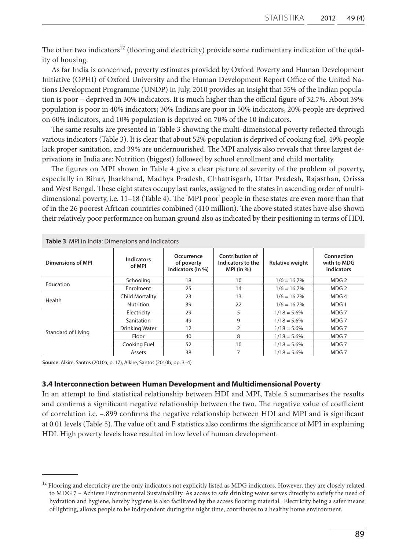The other two indicators<sup>12</sup> (flooring and electricity) provide some rudimentary indication of the quality of housing.

As far India is concerned, poverty estimates provided by Oxford Poverty and Human Development Initiative (OPHI) of Oxford University and the Human Development Report Office of the United Nations Development Programme (UNDP) in July, 2010 provides an insight that 55% of the Indian population is poor – deprived in 30% indicators. It is much higher than the official figure of 32.7%. About 39% population is poor in 40% indicators; 30% Indians are poor in 50% indicators, 20% people are deprived on 60% indicators, and 10% population is deprived on 70% of the 10 indicators.

The same results are presented in Table 3 showing the multi-dimensional poverty reflected through various indicators (Table 3). It is clear that about 52% population is deprived of cooking fuel, 49% people lack proper sanitation, and 39% are undernourished. The MPI analysis also reveals that three largest deprivations in India are: Nutrition (biggest) followed by school enrollment and child mortality.

The figures on MPI shown in Table 4 give a clear picture of severity of the problem of poverty, especially in Bihar, Jharkhand, Madhya Pradesh, Chhattisgarh, Uttar Pradesh, Rajasthan, Orissa and West Bengal. These eight states occupy last ranks, assigned to the states in ascending order of multidimensional poverty, i.e. 11–18 (Table 4). The 'MPI poor' people in these states are even more than that of in the 26 poorest African countries combined (410 million). The above stated states have also shown their relatively poor performance on human ground also as indicated by their positioning in terms of HDI.

| <b>Table 3</b> MPI in India: Dimensions and Indicators |                             |                                               |                                                             |                        |                                         |
|--------------------------------------------------------|-----------------------------|-----------------------------------------------|-------------------------------------------------------------|------------------------|-----------------------------------------|
| Dimensions of MPI                                      | <b>Indicators</b><br>of MPI | Occurrence<br>of poverty<br>indicators (in %) | <b>Contribution of</b><br>Indicators to the<br>MPI $(in %)$ | <b>Relative weight</b> | Connection<br>with to MDG<br>indicators |
| Education                                              | Schooling                   | 18                                            | 10                                                          | $1/6 = 16.7\%$         | MDG <sub>2</sub>                        |
|                                                        | Enrolment                   | 25                                            | 14                                                          | $1/6 = 16.7\%$         | MDG <sub>2</sub>                        |
| Health                                                 | <b>Child Mortality</b>      | 23                                            | 13                                                          | $1/6 = 16.7\%$         | MDG4                                    |
|                                                        | Nutrition                   | 39                                            | 22                                                          | $1/6 = 16.7\%$         | MDG <sub>1</sub>                        |
|                                                        | Electricity                 | 29                                            | 5                                                           | $1/18 = 5.6\%$         | MDG 7                                   |
|                                                        | Sanitation                  | 49                                            | 9                                                           | $1/18 = 5.6\%$         | MDG 7                                   |
|                                                        | Drinking Water              | 12                                            | $\overline{2}$                                              | $1/18 = 5.6\%$         | MDG <sub>7</sub>                        |
| Standard of Living                                     | Floor                       | 40                                            | 8                                                           | $1/18 = 5.6\%$         | MDG <sub>7</sub>                        |
|                                                        | Cooking Fuel                | 52                                            | 10                                                          | $1/18 = 5.6\%$         | MDG 7                                   |
|                                                        | Assets                      | 38                                            | 7                                                           | $1/18 = 5.6\%$         | MDG 7                                   |

**Source:** Alkire, Santos (2010a, p. 17), Alkire, Santos (2010b, pp. 3–4)

#### **3.4 Interconnection between Human Development and Multidimensional Poverty**

In an attempt to find statistical relationship between HDI and MPI, Table 5 summarises the results and confirms a significant negative relationship between the two. The negative value of coefficient of correlation i.e. –.899 confirms the negative relationship between HDI and MPI and is significant at 0.01 levels (Table 5). The value of t and F statistics also confirms the significance of MPI in explaining HDI. High poverty levels have resulted in low level of human development.

<sup>&</sup>lt;sup>12</sup> Flooring and electricity are the only indicators not explicitly listed as MDG indicators. However, they are closely related to MDG 7 – Achieve Environmental Sustainability. As access to safe drinking water serves directly to satisfy the need of hydration and hygiene, hereby hygiene is also facilitated by the access flooring material. Electricity being a safer means of lighting, allows people to be independent during the night time, contributes to a healthy home environment.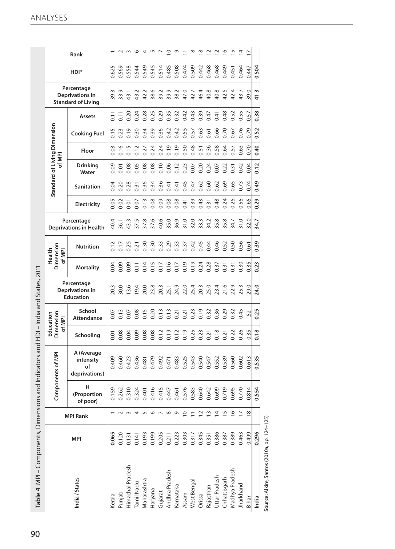|                  |       |                          |                              | Components of MP                                   | of MPI         | Education<br>Dimension      |                                                   |                   | Dimension<br>Health<br>of MPI |                                             |                |                   | Standard of Living Dimension<br>of MPI |       |                     |                |                                                            |       |                          |
|------------------|-------|--------------------------|------------------------------|----------------------------------------------------|----------------|-----------------------------|---------------------------------------------------|-------------------|-------------------------------|---------------------------------------------|----------------|-------------------|----------------------------------------|-------|---------------------|----------------|------------------------------------------------------------|-------|--------------------------|
| India / States   | MPI   | MPI Rank                 | н<br>(Proportion<br>of poor) | A (Average<br>intensity<br>οf<br>deprivations)     | Schooling      | School<br><b>Attendance</b> | Percentage<br>Deprivations in<br><b>Education</b> | <b>Mortality</b>  | <b>Nutrition</b>              | Percentage<br><b>Deprivations in Health</b> | Electricity    | <b>Sanitation</b> | Drinking<br>Water                      | Floor | <b>Cooking Fuel</b> | Assets         | Percentage<br>Deprivations in<br><b>Standard of Living</b> | HDI*  | Rank                     |
| Kerala           | 0.065 |                          | 0.159                        | 0.409                                              | 5.01           | 0.07                        | 20.3                                              | 0.04              | 0.12                          | 40.4                                        | 0.05           | 0.04              | 0.09                                   | 0.03  | 0.15                | $\overline{0}$ | 39.3                                                       | 0.625 |                          |
| Punjab           | 0.120 | $\sim$                   | 0.262                        | 0.460                                              | 0.08           | 0.13                        | 30.0                                              | 0.09              | 0.17                          | 36.1                                        | 0.02           | 0.20              | $\overline{0}$                         | 0.16  | 0.23                | $\overline{5}$ | 33.9                                                       | 0.569 |                          |
| Himachal Pradesh | 0.131 | $\sim$                   | 0.310                        |                                                    | 0.04           | 0.07                        | 13.6                                              | 0.09              | 0.25                          | 43.3                                        | $\overline{0}$ | 0.28              | 0.08                                   | 0.15  | 0.19                | 0.20           | 43.1                                                       | 0.558 |                          |
| Tamil Nadu       | 0.141 | $\overline{ }$           | 0.324                        | 0.436                                              | 0.09           | 0.08                        | 19.4                                              | $\frac{1}{\circ}$ | 21                            | 37.5                                        | 0.07           | 0.31              | 0.05                                   |       | 0.30                | 0.24           | 43.2                                                       | 0.544 |                          |
| Maharashtra      | 0.193 | $\sqrt{2}$               | 0.401                        |                                                    | 0.08           | $0.15$<br>$0.20$            | 20.0                                              | 0.14              | 0.30                          | 37.8                                        | 0.13           | 0.36              | 0.08                                   | 0.27  | 0.34                | 0.28           | 42.2                                                       | 0.549 |                          |
| Haryana          | 0.199 | $\circ$                  | 0.416                        |                                                    | 0.08           |                             | 23.8                                              | 0.15              | 0.30                          | 37.6                                        | 0.08           | 0.34              | 0.08                                   | 0.24  | 0.39                | 0.25           | 38.6                                                       | 0.545 |                          |
| Gujarat          | 0.205 | $\overline{\phantom{0}}$ | 0.415                        |                                                    | $0.12$<br>0.19 |                             | 20.3                                              | $\frac{1}{2}$     | 0.33                          | 40.6                                        | 0.09           | 0.36              | 0.10                                   | 0.24  | 0.36                | 0.29           | 39.2                                                       | 0.514 | $\overline{ }$           |
| Andhra Pradesh   | 0.211 | $\infty$                 | 0.447                        |                                                    |                |                             | 25.1                                              | 0.16              | 0.29                          | 35.0                                        | 0.08           | 0.41              | 0.06                                   | 0.19  | 0.42                | 0.35           | 39.9                                                       | 0.485 | $\subseteq$              |
| Karnataka        | 0.223 | $\sigma$                 | 0.461                        |                                                    | 0.12           |                             | 24.9                                              | 0.17              | 0.33                          | 36.9                                        | 0.08           | 0.41              | 0.12                                   | 0.19  | 0.42                | 0.32           | 38.2                                                       | 0.508 | $\circ$                  |
| Assam            | 0.303 | $\circ$                  | 0.576                        |                                                    | 0.19           |                             |                                                   | 0.19              | 0.37                          | 31.0                                        | 0.41           | 0.45              | 0.23                                   | 0.50  | 0.55                | 0.42           | 47.0                                                       | 0.474 | Ξ                        |
| West Bengal      | 0.317 |                          | 0.583                        | 0.481<br>0.470<br>0.471<br>0.548<br>0.547<br>0.547 | 0.25           | 0.23                        | 22.0<br>25.4<br>20.3                              | 0.19              | 0.42                          | 32.0                                        | 0.39           | 0.47              | 0.07                                   | 0.48  | 0.57                | 0.43           | 42.7                                                       | 0.509 | $\infty$                 |
| Orissa           | 0.345 | $\sim$                   | 0.640                        |                                                    | 0.23           |                             |                                                   | 0.24              | 0.45                          | 33.3                                        | 0.43           | 0.62              | 0.20                                   | 0.51  | 0.63                | 0.39           | 46.4                                                       | 0.442 | $\overline{8}$           |
| Rajasthan        | 0.351 | $\sim$                   | 0.642                        |                                                    | 0.21           | 0.32                        | 25.0                                              | 0.28              | 0.44                          | 34.2                                        | 0.31           | 0.60              | 0.24                                   | 0.36  | 0.61                | 0.47           | 40.8                                                       | 0.468 | $\overline{\phantom{0}}$ |
| Uttar Pradesh    | 0.386 | 4                        | 699                          | 0.552                                              | 0.18           | 0.36                        | 23.4                                              | 0.37              | 0.46                          | 35.8                                        | 0.48           | 0.62              | 0.07                                   | 0.58  | 0.66                | 0.41           | 40.8                                                       | 0.468 | $\bar{\mathsf{c}}$       |
| Chhattisgarh     | 0.387 | 5                        | 0.719                        | 0.539                                              | $\overline{5}$ | 0.29                        | 21.6                                              | $\overline{0}$    | 0.52                          | 35.8                                        | 0.24           | 0.69              | 0.22                                   | 0.64  | 0.70                | 0.48           | 42.5                                                       | 0.449 | $\tilde{=}$              |
| Madhya Pradesh   | 0.389 | $\circ$ $\sim$           | .695                         | 0.560                                              | 0.22           | 0.32                        | 22.9                                              | $\overline{0.31}$ | <b>D.50</b>                   | 34.7                                        | 0.25           | 0.65              | $\overline{0}$                         | 0.57  | 0.67                | 0.52           | 42.4                                                       | 0.451 | $\overline{5}$           |
| Jharkhand        | 0.463 |                          | 0.770                        | 0.602                                              | 0.26           | 0.45                        | 25.3                                              | 0.3C              | 0.56                          | 31.0                                        | 0.55           | 0.73              | 0.42                                   | 0.63  | 0.76                | 0.55           | 43.7                                                       | 0.464 | $\overline{4}$           |
| Bihar            | 6670  | ${}^{\circ}$             | .814                         | 0.61                                               | 0.35           | 52                          | 29.                                               | 0.35              | 0.61                          | 32.0                                        | 0.65           | 0.74              | 0.04                                   | 0.70  | 0.79                | 0.57           | 39.0                                                       | 0.447 |                          |
| India            | 0.296 |                          | 0.554                        | 0.535                                              | 0.18           | 0.25                        | 24.0                                              | 0.23              | 0.39                          | 34.7                                        | 0.29           | 0.49              | 0.12                                   | 0.40  | 0.52                | 0.38           | 41.3                                                       | 0.504 |                          |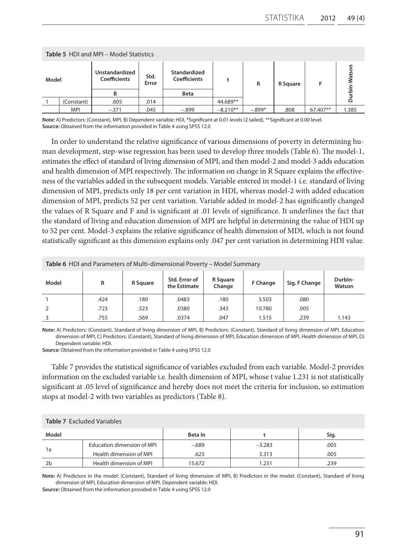|       |            | <b>Table 5 HDI and MPI - Model Statistics</b> |               |                              |            |          |          |          |        |
|-------|------------|-----------------------------------------------|---------------|------------------------------|------------|----------|----------|----------|--------|
| Model |            | Unstandardized<br>Coefficients                | Std.<br>Error | Standardized<br>Coefficients |            | R        | R Square |          | latson |
|       |            | R                                             |               | <b>Beta</b>                  |            |          |          |          | 호      |
|       | (Constant) | .605                                          | .014          |                              | 44.689**   |          |          |          |        |
|       | <b>MPI</b> | $-.371$                                       | .045          | $-.899$                      | $-8.210**$ | $-.899*$ | .808     | 67.407** | 1.385  |

**Note:** A) Predictors: (Constant), MPI, B) Dependent variable: HDI, \*Significant at 0.01 levels (2 tailed), \*\*Significant at 0.00 level. **Source:** Obtained from the information provided in Table 4 using SPSS 12.0

In order to understand the relative significance of various dimensions of poverty in determining human development, step-wise regression has been used to develop three models (Table 6). The model-1, estimates the effect of standard of living dimension of MPI, and then model-2 and model-3 adds education and health dimension of MPI respectively. The information on change in R Square explains the effectiveness of the variables added in the subsequent models. Variable entered in model-1 i.e. standard of living dimension of MPI, predicts only 18 per cent variation in HDI, whereas model-2 with added education dimension of MPI, predicts 52 per cent variation. Variable added in model-2 has significantly changed the values of R Square and F and is significant at .01 levels of significance. It underlines the fact that the standard of living and education dimension of MPI are helpful in determining the value of HDI up to 52 per cent. Model-3 explains the relative significance of health dimension of MDI, which is not found statistically significant as this dimension explains only .047 per cent variation in determining HDI value.

|       | <b>Table 6</b> HDI and Parameters of Multi-dimensional Poverty – Model Summary |          |                               |                    |                 |               |                   |
|-------|--------------------------------------------------------------------------------|----------|-------------------------------|--------------------|-----------------|---------------|-------------------|
| Model | R                                                                              | R Square | Std. Error of<br>the Estimate | R Square<br>Change | <b>F Change</b> | Sig. F Change | Durbin-<br>Watson |
|       | .424                                                                           | .180     | .0483                         | .180               | 3.503           | .080          |                   |
|       | .723                                                                           | .523     | .0380                         | .343               | 10.780          | .005          |                   |
|       | .755                                                                           | .569     | .0374                         | .047               | 1.515           | .239          | 1.143             |

**Note:** A) Predictors: (Constant), Standard of living dimension of MPI, B) Predictors: (Constant), Standard of living dimension of MPI, Education dimension of MPI, C) Predictors: (Constant), Standard of living dimension of MPI, Education dimension of MPI, Health dimension of MPI, D) Dependent variable: HDI.

**Source:** Obtained from the information provided in Table 4 using SPSS 12.0

Table 7 provides the statistical significance of variables excluded from each variable. Model-2 provides information on the excluded variable i.e. health dimension of MPI, whose t value 1.231 is not statistically significant at .05 level of significance and hereby does not meet the criteria for inclusion, so estimation stops at model-2 with two variables as predictors (Table 8).

|                | <b>Table 7 Excluded Variables</b> |         |          |      |
|----------------|-----------------------------------|---------|----------|------|
| Model          |                                   | Beta In |          | Sig. |
|                | Education dimension of MPI        | $-.689$ | $-3.283$ | .005 |
| 1a             | Health dimension of MPI           | .623    | 3.313    | .005 |
| 2 <sub>b</sub> | Health dimension of MPI           | 15.672  | 1.231    | .239 |

**Note:** A) Predictors in the model: (Constant), Standard of living dimension of MPI, B) Predictors in the model: (Constant), Standard of living dimension of MPI, Education dimension of MPI. Dependent variable: HDI.

**Source:** Obtained from the information provided in Table 4 using SPSS 12.0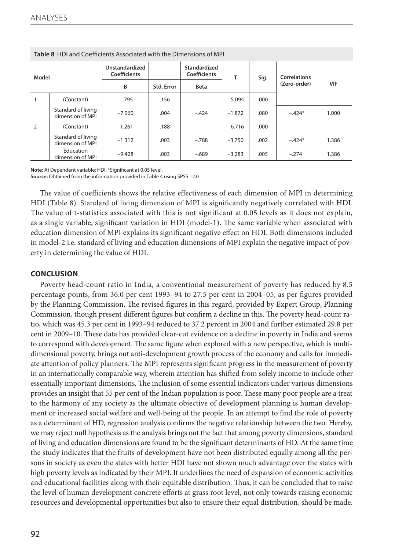|                | <b>Table 8</b> HDI and Coefficients Associated with the Dimensions of MPI |                                |            |                                     |          |       |              |       |
|----------------|---------------------------------------------------------------------------|--------------------------------|------------|-------------------------------------|----------|-------|--------------|-------|
| Model          |                                                                           | Unstandardized<br>Coefficients |            | Standardized<br><b>Coefficients</b> | т        | Sig.  | Correlations |       |
|                |                                                                           | в                              | Std. Error | <b>Beta</b>                         |          |       | (Zero-order) | VIF   |
|                | (Constant)                                                                | .795                           | .156       |                                     | 5.094    | .000  |              |       |
|                | Standard of living<br>dimension of MPI                                    | $-7.060$                       | .004       | $-.424$                             | $-1.872$ | .080  | $-.424*$     | 1.000 |
| $\overline{2}$ | (Constant)                                                                | 1.261                          | .188       |                                     | 6.716    | .000. |              |       |
|                | Standard of living<br>dimension of MPI                                    | $-1.312$                       | .003       | $-.788$                             | $-3.750$ | .002  | $-.424*$     | 1.386 |
|                | Education<br>dimension of MPI                                             | $-9.428$                       | .003       | $-.689$                             | $-3.283$ | .005  | $-.274$      | 1.386 |

**Note:** A) Dependent variable: HDI, \*Significant at 0.05 level.

**Source: Obtained from the information provided in Table 4 using SPSS 12.0** 

The value of coefficients shows the relative effectiveness of each dimension of MPI in determining HDI (Table 8). Standard of living dimension of MPI is significantly negatively correlated with HDI. The value of t-statistics associated with this is not significant at 0.05 levels as it does not explain, as a single variable, significant variation in HDI (model-1). The same variable when associated with education dimension of MPI explains its significant negative effect on HDI. Both dimensions included in model-2 i.e. standard of living and education dimensions of MPI explain the negative impact of poverty in determining the value of HDI.

# **CONCLUSION**

Poverty head-count ratio in India, a conventional measurement of poverty has reduced by 8.5 percentage points, from 36.0 per cent 1993–94 to 27.5 per cent in 2004–05, as per figures provided by the Planning Commission. The revised figures in this regard, provided by Expert Group, Planning Commission, though present different figures but confirm a decline in this. The poverty head-count ratio, which was 45.3 per cent in 1993–94 reduced to 37.2 percent in 2004 and further estimated 29.8 per cent in 2009–10. These data has provided clear-cut evidence on a decline in poverty in India and seems to correspond with development. The same figure when explored with a new perspective, which is multidimensional poverty, brings out anti-development growth process of the economy and calls for immediate attention of policy planners. The MPI represents significant progress in the measurement of poverty in an internationally comparable way, wherein attention has shifted from solely income to include other essentially important dimensions. The inclusion of some essential indicators under various dimensions provides an insight that 55 per cent of the Indian population is poor. These many poor people are a treat to the harmony of any society as the ultimate objective of development planning is human development or increased social welfare and well-being of the people. In an attempt to find the role of poverty as a determinant of HD, regression analysis confirms the negative relationship between the two. Hereby, we may reject null hypothesis as the analysis brings out the fact that among poverty dimensions, standard of living and education dimensions are found to be the significant determinants of HD. At the same time the study indicates that the fruits of development have not been distributed equally among all the persons in society as even the states with better HDI have not shown much advantage over the states with high poverty levels as indicated by their MPI. It underlines the need of expansion of economic activities and educational facilities along with their equitable distribution. Thus, it can be concluded that to raise the level of human development concrete efforts at grass root level, not only towards raising economic resources and developmental opportunities but also to ensure their equal distribution, should be made.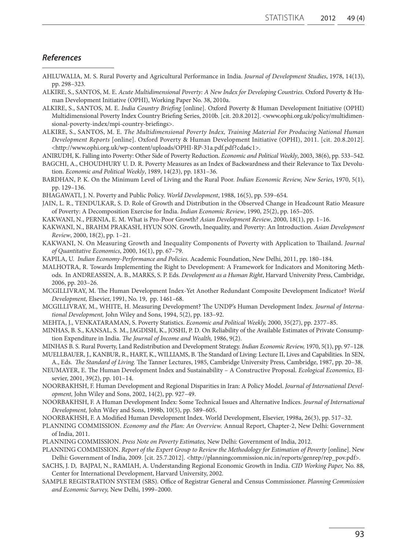# *References*

- AHLUWALIA, M. S. Rural Poverty and Agricultural Performance in India. *Journal of Development Studies*, 1978, 14(13), pp. 298–323.
- ALKIRE, S., SANTOS, M. E. *Acute Multidimensional Poverty: A New Index for Developing Countries.* Oxford Poverty & Human Development Initiative (OPHI), Working Paper No. 38, 2010a.
- ALKIRE, S., SANTOS, M. E. *India Country Briefing* [online]. Oxford Poverty & Human Development Initiative (OPHI) Multidimensional Poverty Index Country Briefing Series, 2010b. [cit. 20.8.2012]. <www.ophi.org.uk/policy/multidimensional-poverty-index/mpi-country-briefings>.
- ALKIRE, S., SANTOS, M. E. *The Multidimensional Poverty Index, Training Material For Producing National Human Development Reports* [online]. Oxford Poverty & Human Development Initiative (OPHI), 2011. [cit. 20.8.2012]. <http://www.ophi.org.uk/wp-content/uploads/OPHI-RP-31a.pdf.pdf?cda6c1>.

ANIRUDH, K. Falling into Poverty: Other Side of Poverty Reduction. *Economic and Political Weekly*, 2003, 38(6), pp. 533–542.

- BAGCHI, A., CHOUDHURY U. D. R. Poverty Measures as an Index of Backwardness and their Relevance to Tax Devolution. *Economic and Political Weekly*, 1989, 14(23), pp. 1831–36.
- BARDHAN, P. K. On the Minimum Level of Living and the Rural Poor. *Indian Economic Review, New Series*, 1970, 5(1), pp. 129–136.
- BHAGAWATI, J. N. Poverty and Public Policy. *World Development*, 1988, 16(5), pp. 539–654.
- JAIN, L. R., TENDULKAR, S. D. Role of Growth and Distribution in the Observed Change in Headcount Ratio Measure of Poverty: A Decomposition Exercise for India. *Indian Economic Review*, 1990, 25(2), pp. 165–205.
- KAKWANI, N., PERNIA, E. M. What is Pro-Poor Growth? *Asian Development Review*, 2000, 18(1), pp. 1–16.
- KAKWANI, N., BRAHM PRAKASH, HYUN SON. Growth, Inequality, and Poverty: An Introduction. *Asian Development Review*, 2000, 18(2), pp. 1–21.
- KAKWANI, N. On Measuring Growth and Inequality Components of Poverty with Application to Thailand. *Journal of Quantitative Economics*, 2000, 16(1), pp. 67–79.
- KAPILA, U. *Indian Economy-Performance and Policies.* Academic Foundation, New Delhi, 2011, pp. 180–184.
- MALHOTRA, R. Towards Implementing the Right to Development: A Framework for Indicators and Monitoring Methods. In ANDREASSEN, A. B., MARKS, S. P. Eds. *Development as a Human Right*, Harvard University Press, Cambridge, 2006, pp. 203–26.
- MCGILLIVRAY, M. The Human Development Index-Yet Another Redundant Composite Development Indicator? *World Development,* Elsevier, 1991, No. 19, pp. 1461–68.
- MCGILLIVRAY, M., WHITE, H. Measuring Development? The UNDP's Human Development Index. *Journal of International Development,* John Wiley and Sons, 1994, 5(2), pp. 183–92.
- MEHTA, J., VENKATARAMAN, S. Poverty Statistics. *Economic and Political Weekly,* 2000, 35(27), pp. 2377–85.
- MINHAS, B. S., KANSAL, S. M., JAGDISH, K., JOSHI, P. D. On Reliability of the Available Estimates of Private Consumption Expenditure in India. *The Journal of Income and Wealth,* 1986, 9(2).
- MINHAS B. S. Rural Poverty, Land Redistribution and Development Strategy. *Indian Economic Review,* 1970, 5(1), pp. 97–128. MUELLBAUER, J., KANBUR, R., HART, K., WILLIAMS, B. The Standard of Living: Lecture II, Lives and Capabilities. In SEN,
- A., Eds. *The Standard of Living.* The Tanner Lectures, 1985, Cambridge University Press, Cambridge, 1987, pp. 20–38.
- NEUMAYER, E. The Human Development Index and Sustainability A Constructive Proposal. *Ecological Economics,* Elsevier, 2001, 39(2), pp. 101–14.
- NOORBAKHSH, F. Human Development and Regional Disparities in Iran: A Policy Model. *Journal of International Development,* John Wiley and Sons, 2002, 14(2), pp. 927–49.
- NOORBAKHSH, F. A Human Development Index: Some Technical Issues and Alternative Indices. *Journal of International Development,* John Wiley and Sons, 1998b, 10(5), pp. 589–605.
- NOORBAKHSH, F. A Modified Human Development Index. World Development, Elsevier, 1998a, 26(3), pp. 517–32.
- PLANNING COMMISSION. *Economy and the Plan: An Overview.* Annual Report, Chapter-2, New Delhi: Government of India, 2011.
- PLANNING COMMISSION. *Press Note on Poverty Estimates,* New Delhi: Government of India, 2012.
- PLANNING COMMISSION. *Report of the Expert Group to Review the Methodology for Estimation of Poverty* [online]. New Delhi: Government of India, 2009. [cit. 25.7.2012]. <http://planningcommission.nic.in/reports/genrep/rep\_pov.pdf>.
- SACHS, J. D, BAJPAI, N., RAMIAH, A. Understanding Regional Economic Growth in India. *CID Working Paper,* No. 88, Center for International Development, Harvard University, 2002.
- SAMPLE REGISTRATION SYSTEM (SRS). Office of Registrar General and Census Commissioner. *Planning Commission and Economic Survey,* New Delhi, 1999–2000.